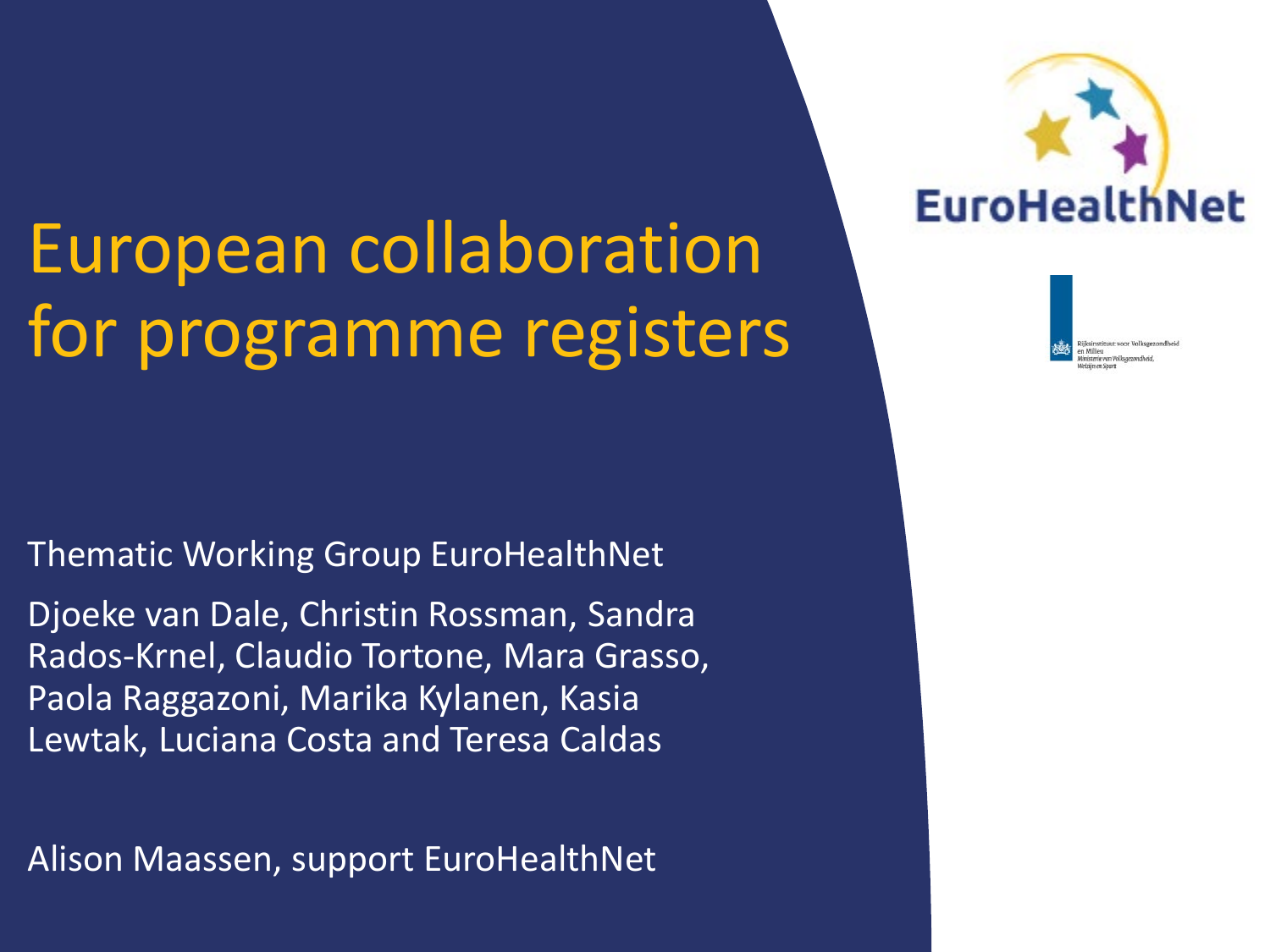# European collaboration for programme registers

Thematic Working Group EuroHealthNet

Djoeke van Dale, Christin Rossman, Sandra Rados-Krnel, Claudio Tortone, Mara Grasso, Paola Raggazoni, Marika Kylanen, Kasia Lewtak, Luciana Costa and Teresa Caldas

Alison Maassen, support EuroHealthNet



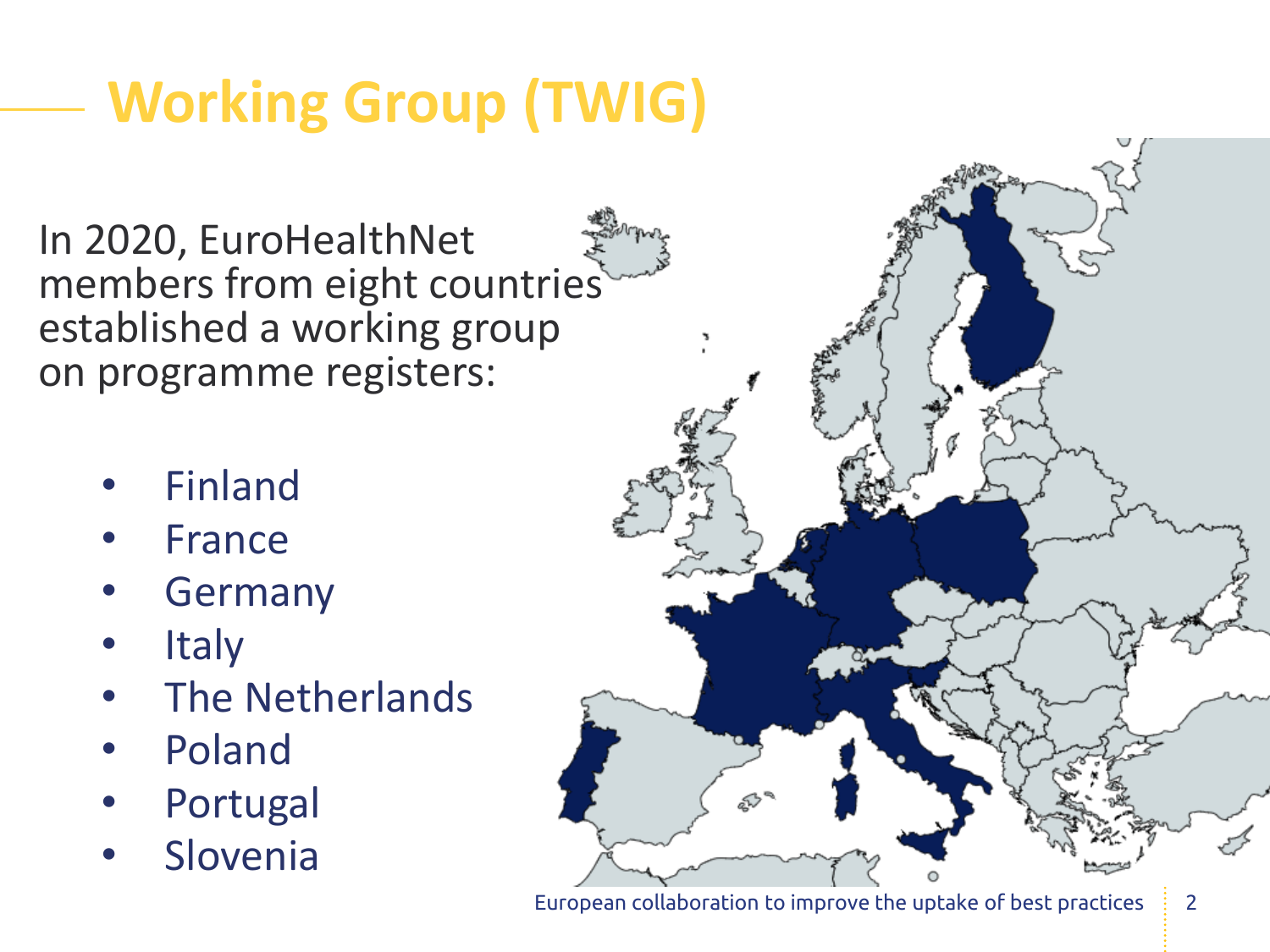## **Working Group (TWIG)**

In 2020, EuroHealthNet members from eight countries established a working group on programme registers:

- **Finland**
- **France**
- **Germany**
- **Italy**
- The Netherlands
- Poland
- **Portugal**
- **Slovenia**

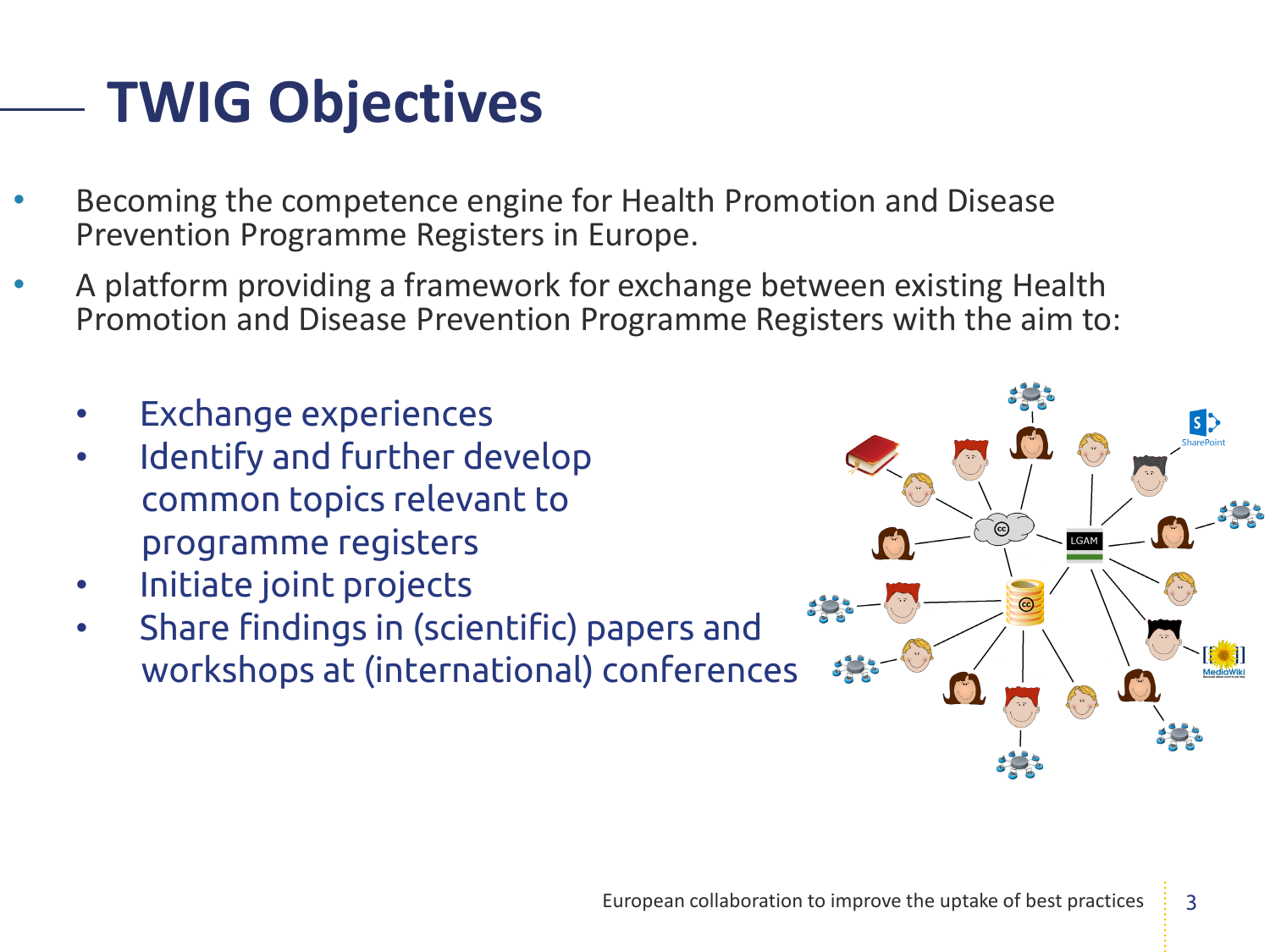### **TWIG Objectives**

- Becoming the competence engine for Health Promotion and Disease Prevention Programme Registers in Europe.
- A platform providing a framework for exchange between existing Health Promotion and Disease Prevention Programme Registers with the aim to:
	- Exchange experiences
	- Identify and further develop common topics relevant to programme registers
	- Initiate joint projects
	- Share findings in (scientific) papers and workshops at (international) conferences

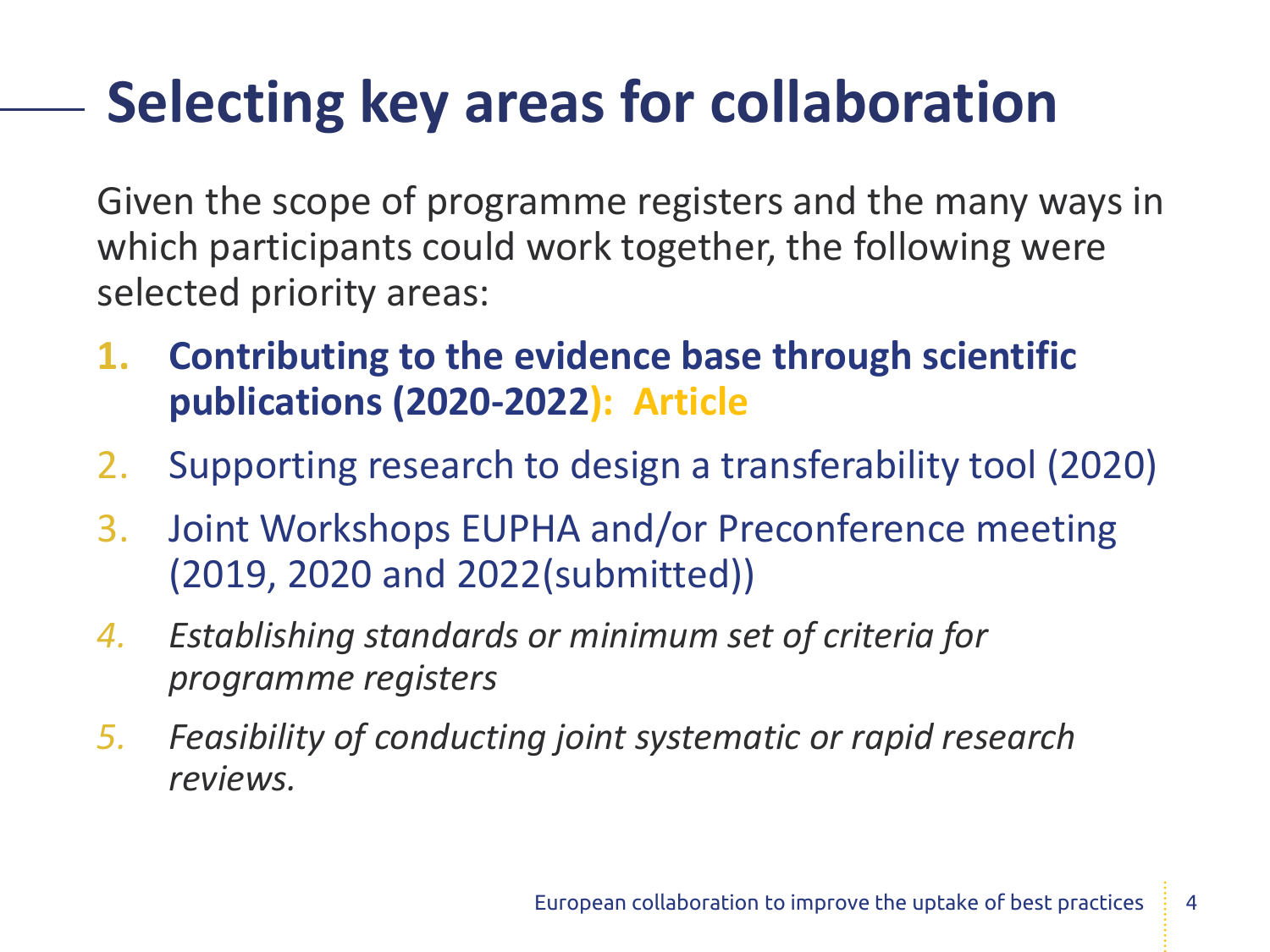### **Selecting key areas for collaboration**

Given the scope of programme registers and the many ways in which participants could work together, the following were selected priority areas:

- **1. Contributing to the evidence base through scientific publications (2020-2022): Article**
- 2. Supporting research to design a transferability tool (2020)
- 3. Joint Workshops EUPHA and/or Preconference meeting (2019, 2020 and 2022(submitted))
- *4. Establishing standards or minimum set of criteria for programme registers*
- *5. Feasibility of conducting joint systematic or rapid research reviews.*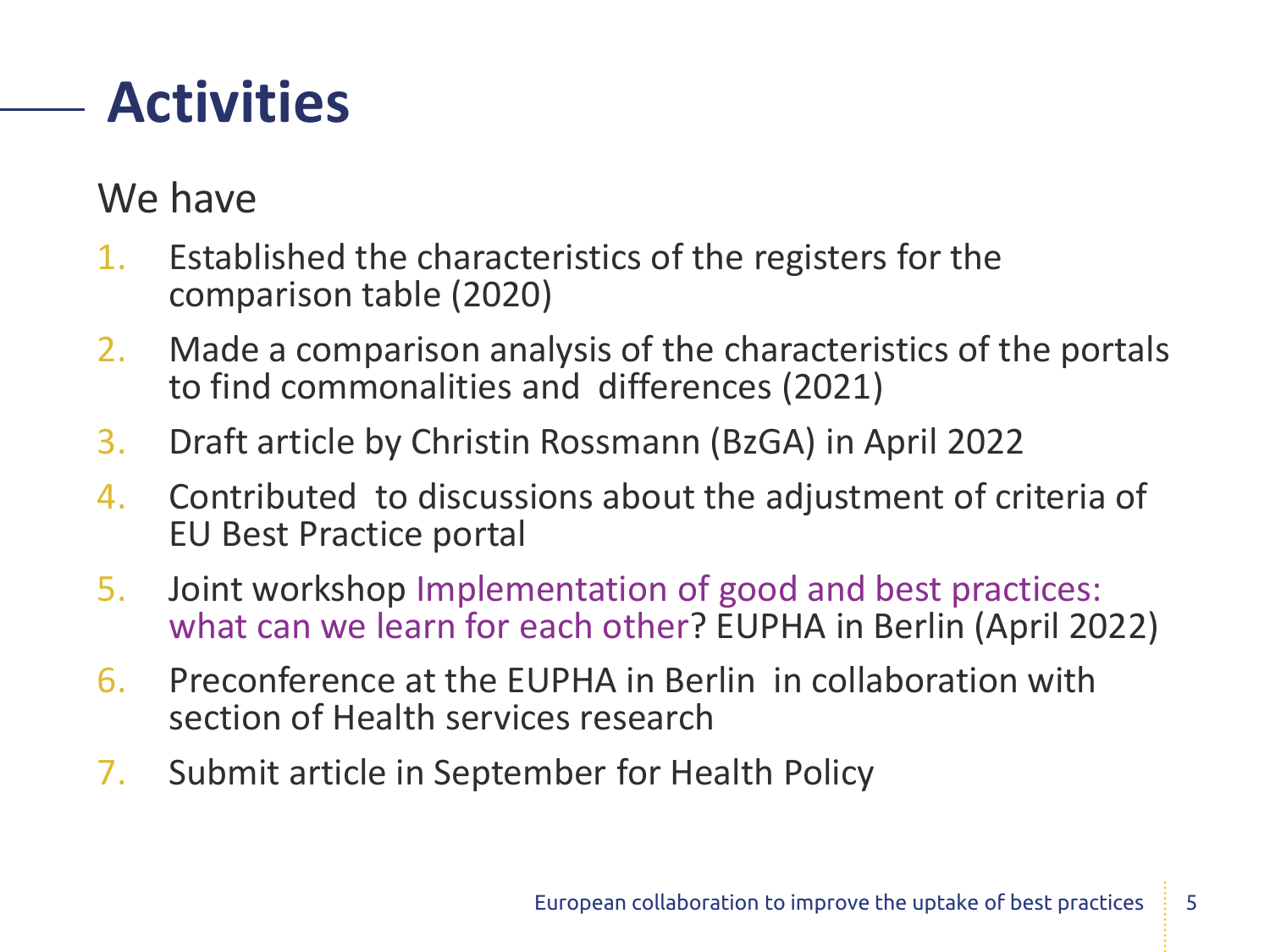#### **Activities**

#### We have

- 1. Established the characteristics of the registers for the comparison table (2020)
- 2. Made a comparison analysis of the characteristics of the portals to find commonalities and differences (2021)
- 3. Draft article by Christin Rossmann (BzGA) in April 2022
- 4. Contributed to discussions about the adjustment of criteria of EU Best Practice portal
- 5. Joint workshop Implementation of good and best practices: what can we learn for each other? EUPHA in Berlin (April 2022)
- 6. Preconference at the EUPHA in Berlin in collaboration with section of Health services research
- 7. Submit article in September for Health Policy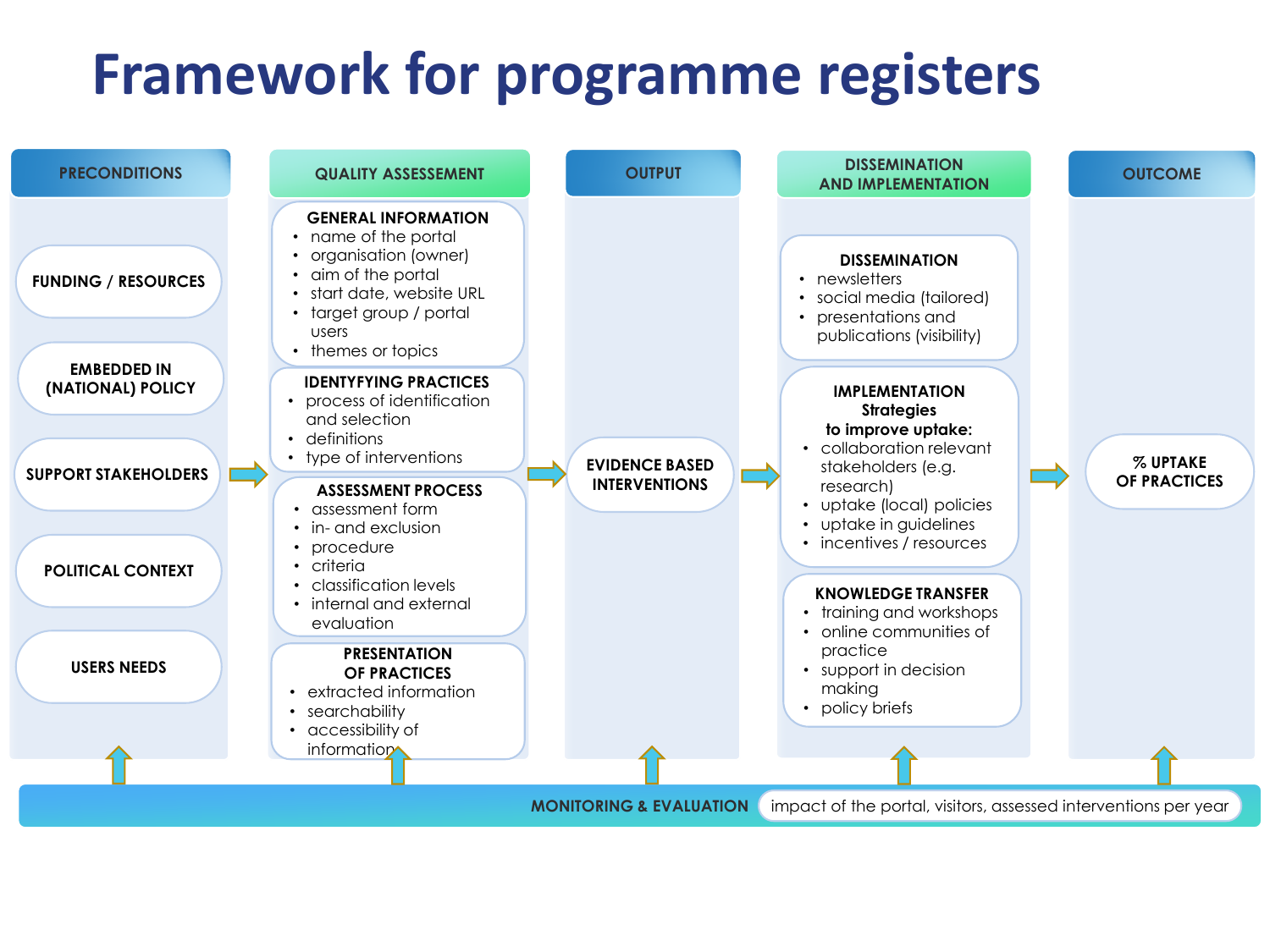#### **Framework for programme registers**

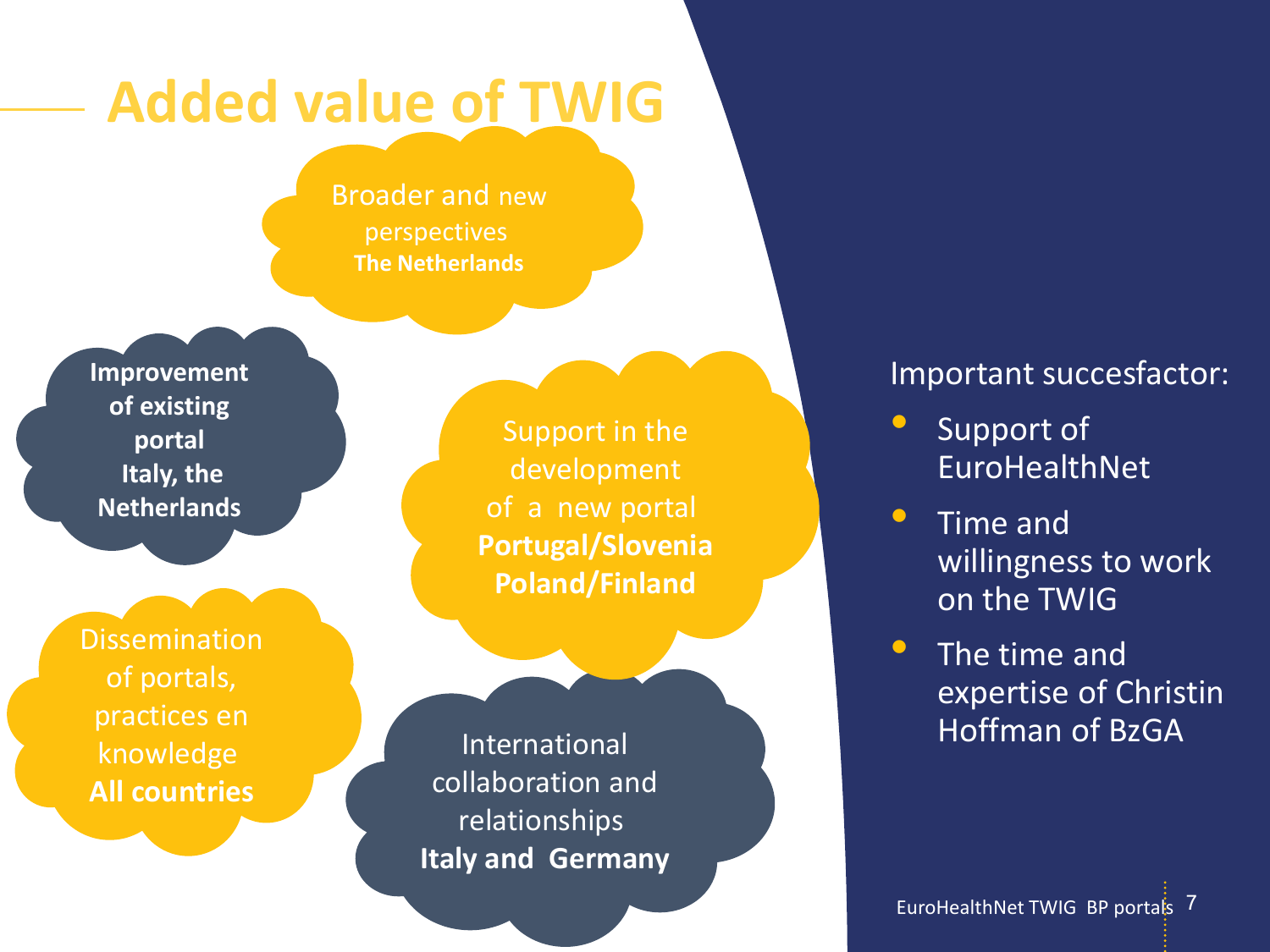### **Added value of TWIG**

Broader and new perspectives **The Netherlands**

**Improvement of existing portal Italy, the Netherlands**

**Dissemination** of portals, practices en knowledge **All countries**

Support in the development of a new portal **Portugal/Slovenia Poland/Finland**

International collaboration and relationships **Italy and Germany**

#### Important succesfactor:

- Support of EuroHealthNet
- Time and willingness to work on the TWIG
- The time and expertise of Christin Hoffman of BzGA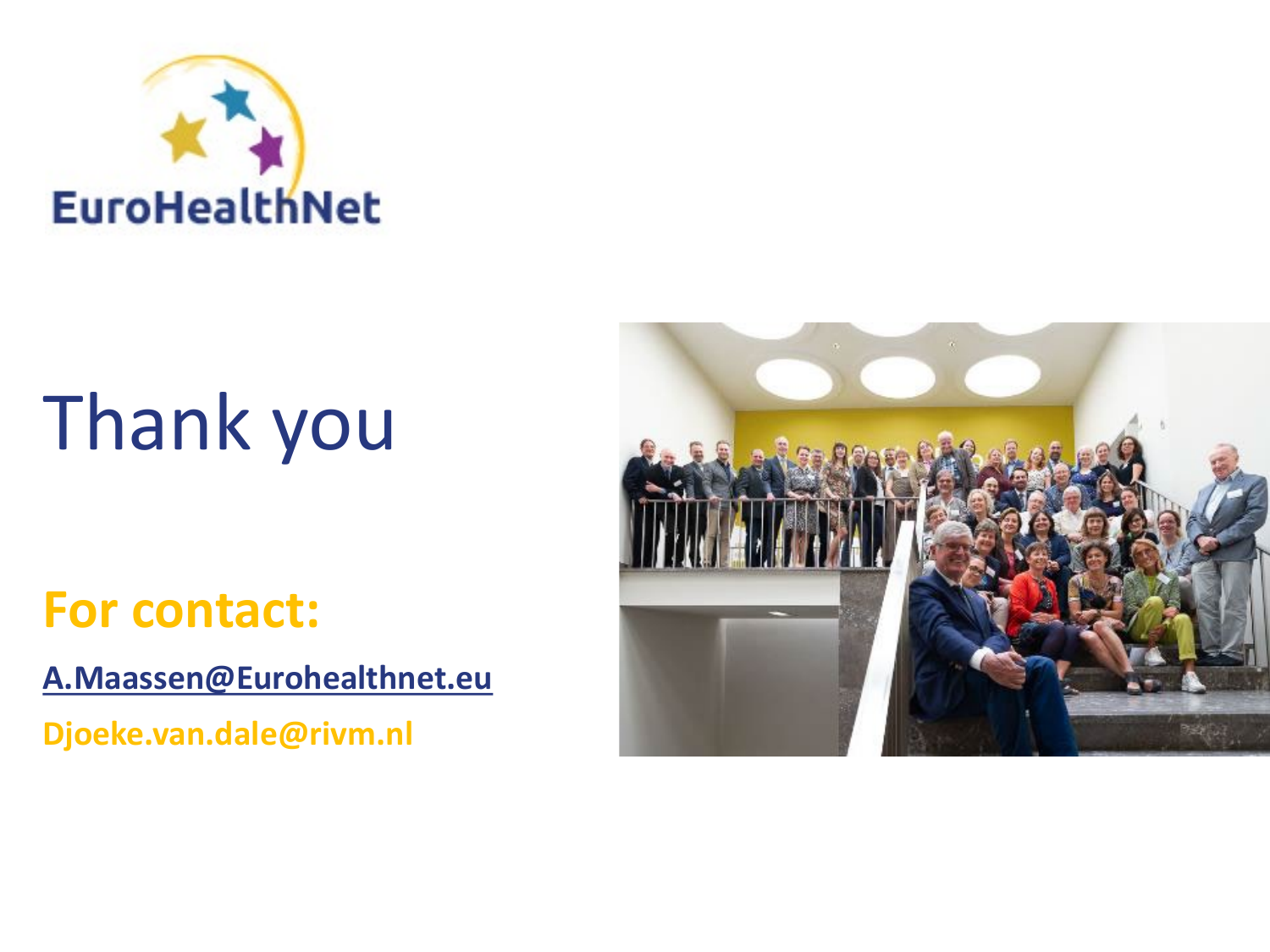

# Thank you

#### **For contact:**

**[A.Maassen@Eurohealthnet.eu](mailto:A.Maassen@Eurohealthnet.eu)**

**Djoeke.van.dale@rivm.nl**